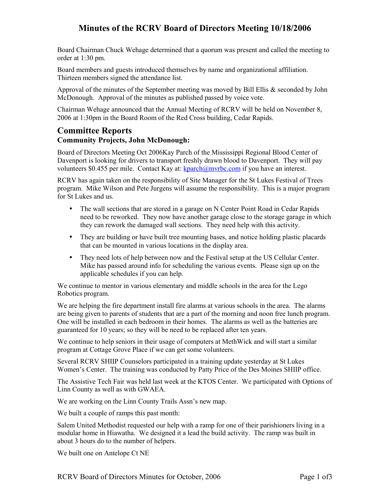# **Minutes of the RCRV Board of Directors Meeting 10/18/2006**

Board Chairman Chuck Wehage determined that a quorum was present and called the meeting to order at 1:30 pm.

Board members and guests introduced themselves by name and organizational affiliation. Thirteen members signed the attendance list.

Approval of the minutes of the September meeting was moved by Bill Ellis & seconded by John McDonough. Approval of the minutes as published passed by voice vote.

Chairman Wehage announced that the Annual Meeting of RCRV will be held on November 8, 2006 at 1:30pm in the Board Room of the Red Cross building, Cedar Rapids.

### **Committee Reports Community Projects, John McDonough:**

Board of Directors Meeting Oct 2006Kay Parch of the Mississippi Regional Blood Center of Davenport is looking for drivers to transport freshly drawn blood to Davenport. They will pay volunteers \$0.455 per mile. Contact Kay at: kparch@mvrbc.com if you have an interest.

RCRV has again taken on the responsibility of Site Manager for the St Lukes Festival of Trees program. Mike Wilson and Pete Jurgens will assume the responsibility. This is a major program for St Lukes and us.

- The wall sections that are stored in a garage on N Center Point Road in Cedar Rapids need to be reworked. They now have another garage close to the storage garage in which they can rework the damaged wall sections. They need help with this activity.
- They are building or have built tree mounting bases, and notice holding plastic placards that can be mounted in various locations in the display area.
- They need lots of help between now and the Festival setup at the US Cellular Center. Mike has passed around info for scheduling the various events. Please sign up on the applicable schedules if you can help.

We continue to mentor in various elementary and middle schools in the area for the Lego Robotics program.

We are helping the fire department install fire alarms at various schools in the area. The alarms are being given to parents of students that are a part of the morning and noon free lunch program. One will be installed in each bedroom in their homes. The alarms as well as the batteries are guaranteed for 10 years; so they will be need to be replaced after ten years.

We continue to help seniors in their usage of computers at MethWick and will start a similar program at Cottage Grove Place if we can get some volunteers.

Several RCRV SHIIP Counselors participated in a training update yesterday at St Lukes Women's Center. The training was conducted by Patty Price of the Des Moines SHIIP office.

The Assistive Tech Fair was held last week at the KTOS Center. We participated with Options of Linn County as well as with GWAEA.

We are working on the Linn County Trails Assn's new map.

We built a couple of ramps this past month:

Salem United Methodist requested our help with a ramp for one of their parishioners living in a modular home in Hiawatha. We designed it a lead the build activity. The ramp was built in about 3 hours do to the number of helpers.

We built one on Antelope Ct NE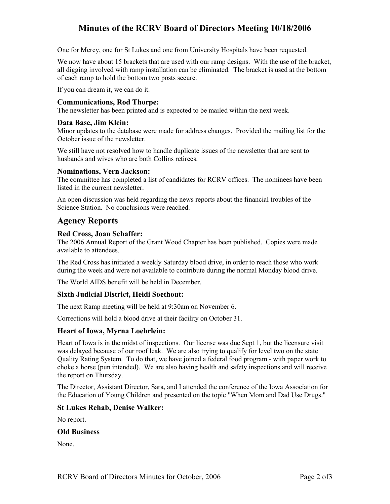# **Minutes of the RCRV Board of Directors Meeting 10/18/2006**

One for Mercy, one for St Lukes and one from University Hospitals have been requested.

We now have about 15 brackets that are used with our ramp designs. With the use of the bracket, all digging involved with ramp installation can be eliminated. The bracket is used at the bottom of each ramp to hold the bottom two posts secure.

If you can dream it, we can do it.

#### **Communications, Rod Thorpe:**

The newsletter has been printed and is expected to be mailed within the next week.

#### **Data Base, Jim Klein:**

Minor updates to the database were made for address changes. Provided the mailing list for the October issue of the newsletter.

We still have not resolved how to handle duplicate issues of the newsletter that are sent to husbands and wives who are both Collins retirees.

#### **Nominations, Vern Jackson:**

The committee has completed a list of candidates for RCRV offices. The nominees have been listed in the current newsletter.

An open discussion was held regarding the news reports about the financial troubles of the Science Station. No conclusions were reached.

## **Agency Reports**

#### **Red Cross, Joan Schaffer:**

The 2006 Annual Report of the Grant Wood Chapter has been published. Copies were made available to attendees.

The Red Cross has initiated a weekly Saturday blood drive, in order to reach those who work during the week and were not available to contribute during the normal Monday blood drive.

The World AIDS benefit will be held in December.

#### **Sixth Judicial District, Heidi Soethout:**

The next Ramp meeting will be held at 9:30am on November 6.

Corrections will hold a blood drive at their facility on October 31.

#### **Heart of Iowa, Myrna Loehrlein:**

Heart of Iowa is in the midst of inspections. Our license was due Sept 1, but the licensure visit was delayed because of our roof leak. We are also trying to qualify for level two on the state Quality Rating System. To do that, we have joined a federal food program - with paper work to choke a horse (pun intended). We are also having health and safety inspections and will receive the report on Thursday.

The Director, Assistant Director, Sara, and I attended the conference of the Iowa Association for the Education of Young Children and presented on the topic "When Mom and Dad Use Drugs."

#### **St Lukes Rehab, Denise Walker:**

No report.

#### **Old Business**

None.